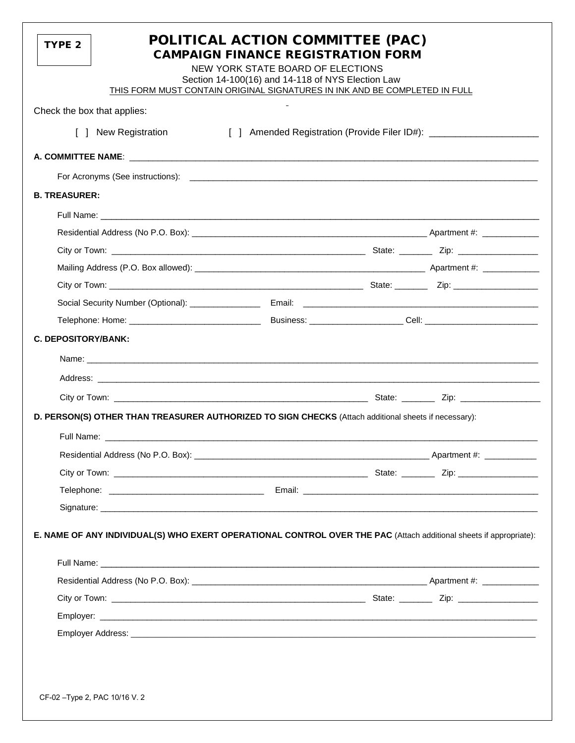| [] Amended Registration (Provide Filer ID#): ___________________________________                                   |
|--------------------------------------------------------------------------------------------------------------------|
|                                                                                                                    |
|                                                                                                                    |
|                                                                                                                    |
|                                                                                                                    |
|                                                                                                                    |
|                                                                                                                    |
|                                                                                                                    |
|                                                                                                                    |
|                                                                                                                    |
|                                                                                                                    |
|                                                                                                                    |
|                                                                                                                    |
|                                                                                                                    |
|                                                                                                                    |
|                                                                                                                    |
|                                                                                                                    |
| D. PERSON(S) OTHER THAN TREASURER AUTHORIZED TO SIGN CHECKS (Attach additional sheets if necessary):               |
|                                                                                                                    |
|                                                                                                                    |
|                                                                                                                    |
|                                                                                                                    |
|                                                                                                                    |
| E. NAME OF ANY INDIVIDUAL(S) WHO EXERT OPERATIONAL CONTROL OVER THE PAC (Attach additional sheets if appropriate): |
|                                                                                                                    |
|                                                                                                                    |
|                                                                                                                    |
|                                                                                                                    |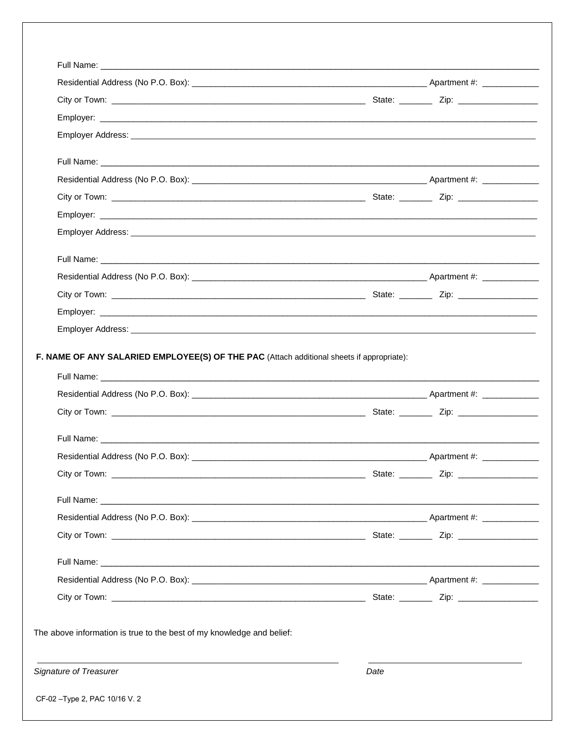| F. NAME OF ANY SALARIED EMPLOYEE(S) OF THE PAC (Attach additional sheets if appropriate): |  |
|-------------------------------------------------------------------------------------------|--|
|                                                                                           |  |
|                                                                                           |  |
|                                                                                           |  |
|                                                                                           |  |
|                                                                                           |  |
|                                                                                           |  |
|                                                                                           |  |
|                                                                                           |  |
|                                                                                           |  |
|                                                                                           |  |
|                                                                                           |  |
|                                                                                           |  |
| The above information is true to the best of my knowledge and belief:                     |  |